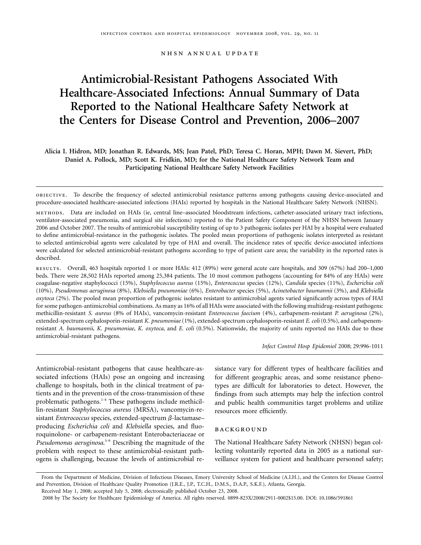# nhsn annual update

# **Antimicrobial-Resistant Pathogens Associated With Healthcare-Associated Infections: Annual Summary of Data Reported to the National Healthcare Safety Network at the Centers for Disease Control and Prevention, 2006–2007**

# **Alicia I. Hidron, MD; Jonathan R. Edwards, MS; Jean Patel, PhD; Teresa C. Horan, MPH; Dawn M. Sievert, PhD; Daniel A. Pollock, MD; Scott K. Fridkin, MD; for the National Healthcare Safety Network Team and Participating National Healthcare Safety Network Facilities**

objective. To describe the frequency of selected antimicrobial resistance patterns among pathogens causing device-associated and procedure-associated healthcare-associated infections (HAIs) reported by hospitals in the National Healthcare Safety Network (NHSN).

methods. Data are included on HAIs (ie, central line–associated bloodstream infections, catheter-associated urinary tract infections, ventilator-associated pneumonia, and surgical site infections) reported to the Patient Safety Component of the NHSN between January 2006 and October 2007. The results of antimicrobial susceptibility testing of up to 3 pathogenic isolates per HAI by a hospital were evaluated to define antimicrobial-resistance in the pathogenic isolates. The pooled mean proportions of pathogenic isolates interpreted as resistant to selected antimicrobial agents were calculated by type of HAI and overall. The incidence rates of specific device-associated infections were calculated for selected antimicrobial-resistant pathogens according to type of patient care area; the variability in the reported rates is described.

results. Overall, 463 hospitals reported 1 or more HAIs: 412 (89%) were general acute care hospitals, and 309 (67%) had 200–1,000 beds. There were 28,502 HAIs reported among 25,384 patients. The 10 most common pathogens (accounting for 84% of any HAIs) were coagulase-negative staphylococci (15%), *Staphylococcus aureus* (15%), *Enterococcus* species (12%), *Candida* species (11%), *Escherichia coli*  (10%), *Pseudomonas aeruginosa* (8%), *Klebsiella pneumoniae* (6%), *Enterobacter* species (5%), *Acinetobacter baumannii* (3%), and *Klebsiella oxytoca* (2%). The pooled mean proportion of pathogenic isolates resistant to antimicrobial agents varied significantly across types of HAI for some pathogen-antimicrobial combinations. As many as 16% of all HAIs were associated with the following multidrug-resistant pathogens: methicillin-resistant *S. aureus* (8% of HAIs), vancomycin-resistant *Enterococcus faecium* (4%), carbapenem-resistant *P. aeruginosa* (2%), extended-spectrum cephalosporin-resistant *K. pneumoniae* (1%), extended-spectrum cephalosporin-resistant *E. coli* (0.5%), and carbapenemresistant *A. baumannii, K. pneumoniae, K. oxytoca,* and *E. coli* (0.5%). Nationwide, the majority of units reported no HAIs due to these antimicrobial-resistant pathogens.

*Infect Control Hosp Epidemiol* 2008; 29:996-1011

Antimicrobial-resistant pathogens that cause healthcare-associated infections (HAIs) pose an ongoing and increasing challenge to hospitals, both in the clinical treatment of patients and in the prevention of the cross-transmission of these problematic pathogens.<sup>1-4</sup> These pathogens include methicillin-resistant *Staphylococcus aureus* (MRSA), vancomycin-resistant *Enterococcus* species, extended-spectrum β-lactamaseproducing *Escherichia coli* and *Klebsiella* species, and fluoroquinolone- or carbapenem-resistant Enterobacteriaceae or *Pseudomonas aeruginosa.*5-9 Describing the magnitude of the problem with respect to these antimicrobial-resistant pathogens is challenging, because the levels of antimicrobial resistance vary for different types of healthcare facilities and for different geographic areas, and some resistance phenotypes are difficult for laboratories to detect. However, the findings from such attempts may help the infection control and public health communities target problems and utilize resources more efficiently.

#### background

The National Healthcare Safety Network (NHSN) began collecting voluntarily reported data in 2005 as a national surveillance system for patient and healthcare personnel safety;

From the Department of Medicine, Division of Infectious Diseases, Emory University School of Medicine (A.I.H.), and the Centers for Disease Control and Prevention, Division of Healthcare Quality Promotion (J.R.E., J.P., T.C.H., D.M.S., D.A.P., S.K.F.), Atlanta, Georgia.

Received May 1, 2008; accepted July 5, 2008; electronically published October 23, 2008.

<sup>2008</sup> by The Society for Healthcare Epidemiology of America. All rights reserved. 0899-823X/2008/2911-0002\$15.00. DOI: 10.1086/591861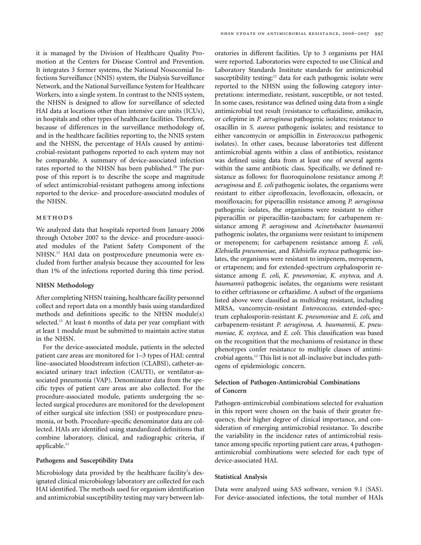it is managed by the Division of Healthcare Quality Promotion at the Centers for Disease Control and Prevention. It integrates 3 former systems, the National Nosocomial Infections Surveillance (NNIS) system, the Dialysis Surveillance Network, and the National Surveillance System for Healthcare Workers, into a single system. In contrast to the NNIS system, the NHSN is designed to allow for surveillance of selected HAI data at locations other than intensive care units (ICUs), in hospitals and other types of healthcare facilities. Therefore, because of differences in the surveillance methodology of, and in the healthcare facilities reporting to, the NNIS system and the NHSN, the percentage of HAIs caused by antimicrobial-resistant pathogens reported to each system may not be comparable. A summary of device-associated infection rates reported to the NHSN has been published.<sup>10</sup> The purpose of this report is to describe the scope and magnitude of select antimicrobial-resistant pathogens among infections reported to the device- and procedure-associated modules of the NHSN.

### **METHODS**

We analyzed data that hospitals reported from January 2006 through October 2007 to the device- and procedure-associated modules of the Patient Safety Component of the NHSN.11 HAI data on postprocedure pneumonia were excluded from further analysis because they accounted for less than 1% of the infections reported during this time period.

#### **NHSN Methodology**

After completing NHSN training, healthcare facility personnel collect and report data on a monthly basis using standardized methods and definitions specific to the NHSN module(s) selected.<sup>11</sup> At least 6 months of data per year compliant with at least 1 module must be submitted to maintain active status in the NHSN.

For the device-associated module, patients in the selected patient care areas are monitored for 1–3 types of HAI: central line–associated bloodstream infection (CLABSI), catheter-associated urinary tract infection (CAUTI), or ventilator-associated pneumonia (VAP). Denominator data from the specific types of patient care areas are also collected. For the procedure-associated module, patients undergoing the selected surgical procedures are monitored for the development of either surgical site infection (SSI) or postprocedure pneumonia, or both. Procedure-specific denominator data are collected. HAIs are identified using standardized definitions that combine laboratory, clinical, and radiographic criteria, if applicable.<sup>11</sup>

#### **Pathogens and Susceptibility Data**

Microbiology data provided by the healthcare facility's designated clinical microbiology laboratory are collected for each HAI identified. The methods used for organism identification and antimicrobial susceptibility testing may vary between laboratories in different facilities. Up to 3 organisms per HAI were reported. Laboratories were expected to use Clinical and Laboratory Standards Institute standards for antimicrobial susceptibility testing; $12$  data for each pathogenic isolate were reported to the NHSN using the following category interpretations: intermediate, resistant, susceptible, or not tested. In some cases, resistance was defined using data from a single antimicrobial test result (resistance to ceftazidime, amikacin, or cefepime in *P. aeruginosa* pathogenic isolates; resistance to oxacillin in *S. aureus* pathogenic isolates; and resistance to either vancomycin or ampicillin in *Enterococcus* pathogenic isolates). In other cases, because laboratories test different antimicrobial agents within a class of antibiotics, resistance was defined using data from at least one of several agents within the same antibiotic class. Specifically, we defined resistance as follows: for fluoroquinolone resistance among *P. aeruginosa* and *E. coli* pathogenic isolates, the organisms were resistant to either ciprofloxacin, levofloxacin, ofloxacin, or moxifloxacin; for piperacillin resistance among *P. aeruginosa*  pathogenic isolates, the organisms were resistant to either piperacillin or piperacillin-tazobactam; for carbapenem resistance among *P. aeruginosa* and *Acinetobacter baumannii*  pathogenic isolates, the organisms were resistant to imipenem or meropenem; for carbapenem resistance among *E. coli, Klebsiella pneumoniae,* and *Klebsiella oxytoca* pathogenic isolates, the organisms were resistant to imipenem, meropenem, or ertapenem; and for extended-spectrum cephalosporin resistance among *E. coli, K. pneumoniae, K. oxytoca,* and *A. baumannii* pathogenic isolates, the organisms were resistant to either ceftriaxone or ceftazidime. A subset of the organisms listed above were classified as multidrug resistant, including MRSA, vancomycin-resistant *Enterococcus,* extended-spectrum cephalosporin-resistant *K. pneumoniae* and *E. coli,* and carbapenem-resistant *P. aeruginosa, A. baumannii, K. pneumoniae, K. oxytoca,* and *E. coli.* This classification was based on the recognition that the mechanisms of resistance in these phenotypes confer resistance to multiple classes of antimicrobial agents.12 This list is not all-inclusive but includes pathogens of epidemiologic concern.

# **Selection of Pathogen-Antimicrobial Combinations of Concern**

Pathogen-antimicrobial combinations selected for evaluation in this report were chosen on the basis of their greater frequency, their higher degree of clinical importance, and consideration of emerging antimicrobial resistance. To describe the variability in the incidence rates of antimicrobial resistance among specific reporting patient care areas, 4 pathogenantimicrobial combinations were selected for each type of device-associated HAI.

# **Statistical Analysis**

Data were analyzed using SAS software, version 9.1 (SAS). For device-associated infections, the total number of HAIs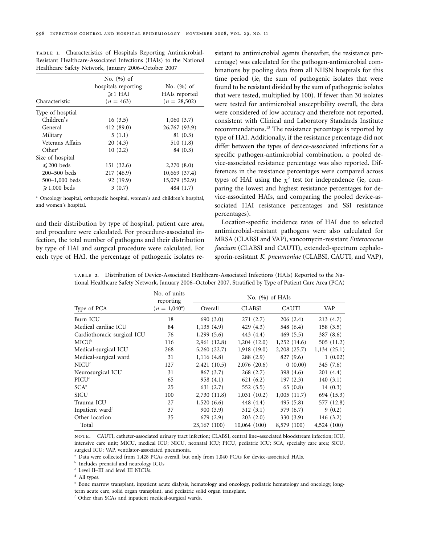| Characteristic         | No. $(\% )$ of<br>hospitals reporting<br>$\geqslant$ 1 HAI<br>$(n = 463)$ | No. $(\% )$ of<br>HAIs reported<br>$(n = 28,502)$ |
|------------------------|---------------------------------------------------------------------------|---------------------------------------------------|
| Type of hosptial       |                                                                           |                                                   |
| Children's             | 16(3.5)                                                                   | 1,060(3.7)                                        |
| General                | 412 (89.0)                                                                | 26,767 (93.9)                                     |
| Military               | 5(1.1)                                                                    | 81(0.3)                                           |
| Veterans Affairs       | 20(4.3)                                                                   | 510(1.8)                                          |
| Other <sup>a</sup>     | 10(2.2)                                                                   | 84 (0.3)                                          |
| Size of hospital       |                                                                           |                                                   |
| $\leq$ 200 beds        | 151 (32.6)                                                                | 2,270(8.0)                                        |
| 200-500 beds           | 217 (46.9)                                                                | 10,669 (37.4)                                     |
| 500–1,000 beds         | 92 (19.9)                                                                 | 15,079 (52.9)                                     |
| $\geqslant$ 1,000 beds | 3(0.7)                                                                    | 484 (1.7)                                         |

table 1. Characteristics of Hospitals Reporting Antimicrobial-Resistant Healthcare-Associated Infections (HAIs) to the National Healthcare Safety Network, January 2006–October 2007

a Oncology hospital, orthopedic hospital, women's and children's hospital, and women's hospital.

and their distribution by type of hospital, patient care area, and procedure were calculated. For procedure-associated infection, the total number of pathogens and their distribution by type of HAI and surgical procedure were calculated. For each type of HAI, the percentage of pathogenic isolates resistant to antimicrobial agents (hereafter, the resistance percentage) was calculated for the pathogen-antimicrobial combinations by pooling data from all NHSN hospitals for this time period (ie, the sum of pathogenic isolates that were found to be resistant divided by the sum of pathogenic isolates that were tested, multiplied by 100). If fewer than 30 isolates were tested for antimicrobial susceptibility overall, the data were considered of low accuracy and therefore not reported, consistent with Clinical and Laboratory Standards Institute recommendations.13 The resistance percentage is reported by type of HAI. Additionally, if the resistance percentage did not differ between the types of device-associated infections for a specific pathogen-antimicrobial combination, a pooled device-associated resistance percentage was also reported. Differences in the resistance percentages were compared across types of HAI using the  $\chi^2$  test for independence (ie, comparing the lowest and highest resistance percentages for device-associated HAIs, and comparing the pooled device-associated HAI resistance percentages and SSI resistance percentages).

Location-specific incidence rates of HAI due to selected antimicrobial-resistant pathogens were also calculated for MRSA (CLABSI and VAP), vancomycin-resistant *Enterococcus faecium* (CLABSI and CAUTI), extended-spectrum cephalosporin-resistant *K. pneumoniae* (CLABSI, CAUTI, and VAP),

|                             | No. of units<br>reporting |              | No. $(\%)$ of HAIs |              |             |
|-----------------------------|---------------------------|--------------|--------------------|--------------|-------------|
| Type of PCA                 | $(n = 1,040^{\circ})$     | Overall      | <b>CLABSI</b>      | <b>CAUTI</b> | <b>VAP</b>  |
| Burn ICU                    | 18                        | 690(3.0)     | 271(2.7)           | 206(2.4)     | 213(4.7)    |
| Medical cardiac ICU         | 84                        | 1,135(4.9)   | 429 $(4.3)$        | 548 (6.4)    | 158(3.5)    |
| Cardiothoracic surgical ICU | 76                        | 1,299(5.6)   | 443 (4.4)          | 469(5.5)     | 387 (8.6)   |
| $MICU^b$                    | 116                       | 2,961(12.8)  | 1,204(12.0)        | 1,252(14.6)  | 505(11.2)   |
| Medical-surgical ICU        | 268                       | 5,260(22.7)  | 1,918(19.0)        | 2,208(25.7)  | 1,134(25.1) |
| Medical-surgical ward       | 31                        | 1,116(4.8)   | 288(2.9)           | 827 (9.6)    | 1(0.02)     |
| NICU <sup>c</sup>           | 127                       | 2,421 (10.5) | 2,076(20.6)        | 0(0.00)      | 345 (7.6)   |
| Neurosurgical ICU           | 31                        | 867(3.7)     | 268(2.7)           | 398 (4.6)    | 201(4.4)    |
| $\text{PICU}^{\text{d}}$    | 65                        | 958(4.1)     | 621(6.2)           | 197(2.3)     | 140(3.1)    |
| SCA <sup>e</sup>            | 25                        | 631(2.7)     | 552(5.5)           | 65(0.8)      | 14(0.3)     |
| <b>SICU</b>                 | 100                       | 2,730(11.8)  | 1,031(10.2)        | 1,005(11.7)  | 694 (15.3)  |
| Trauma ICU                  | 27                        | 1,520(6.6)   | 448 (4.4)          | 495 (5.8)    | 577 (12.8)  |
| Inpatient ward <sup>t</sup> | 37                        | 900(3.9)     | 312(3.1)           | 579 (6.7)    | 9(0.2)      |
| Other location              | 35                        | 679(2.9)     | 203(2.0)           | 330 (3.9)    | 146(3.2)    |
| Total                       |                           | 23,167 (100) | 10,064(100)        | 8,579 (100)  | 4,524 (100) |

table 2. Distribution of Device-Associated Healthcare-Associated Infections (HAIs) Reported to the National Healthcare Safety Network, January 2006–October 2007, Stratified by Type of Patient Care Area (PCA)

note. CAUTI, catheter-associated urinary tract infection; CLABSI, central line–associated bloodstream infection; ICU, intensive care unit; MICU, medical ICU; NICU, neonatal ICU; PICU, pediatric ICU; SCA, specialty care area; SICU, surgical ICU; VAP, ventilator-associated pneumonia.

<sup>a</sup> Data were collected from 1,428 PCAs overall, but only from 1,040 PCAs for device-associated HAIs.

**b** Includes prenatal and neurology ICUs

c Level II–III and level III NICUs.

d All types.

e Bone marrow transplant, inpatient acute dialysis, hematology and oncology, pediatric hematology and oncology, longterm acute care, solid organ transplant, and pediatric solid organ transplant.

f Other than SCAs and inpatient medical-surgical wards.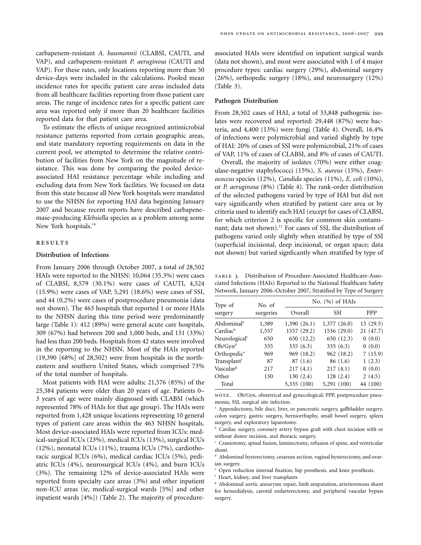carbapenem-resistant *A. baumannii* (CLABSI, CAUTI, and VAP), and carbapenem-resistant *P. aeruginosa* (CAUTI and VAP). For these rates, only locations reporting more than 50 device-days were included in the calculations. Pooled mean incidence rates for specific patient care areas included data from all healthcare facilities reporting from those patient care areas. The range of incidence rates for a specific patient care area was reported only if more than 20 healthcare facilities reported data for that patient care area.

To estimate the effects of unique recognized antimicrobial resistance patterns reported from certain geographic areas, and state mandatory reporting requirements on data in the current pool, we attempted to determine the relative contribution of facilities from New York on the magnitude of resistance. This was done by comparing the pooled deviceassociated HAI resistance percentage while including and excluding data from New York facilities. We focused on data from this state because all New York hospitals were mandated to use the NHSN for reporting HAI data beginning January 2007 and because recent reports have described carbapenemase-producing *Klebsiella* species as a problem among some New York hospitals.<sup>14</sup>

# **RESULTS**

#### **Distribution of Infections**

From January 2006 through October 2007, a total of 28,502 HAIs were reported to the NHSN: 10,064 (35.3%) were cases of CLABSI, 8,579 (30.1%) were cases of CAUTI, 4,524 (15.9%) were cases of VAP, 5,291 (18.6%) were cases of SSI, and 44 (0.2%) were cases of postprocedure pneumonia (data not shown). The 463 hospitals that reported 1 or more HAIs to the NHSN during this time period were predominantly large (Table 1): 412 (89%) were general acute care hospitals, 309 (67%) had between 200 and 1,000 beds, and 151 (33%) had less than 200 beds. Hospitals from 42 states were involved in the reporting to the NHSN. Most of the HAIs reported (19,390 [68%] of 28,502) were from hospitals in the northeastern and southern United States, which comprised 73% of the total number of hospitals.

Most patients with HAI were adults; 21,576 (85%) of the 25,384 patients were older than 20 years of age. Patients 0– 3 years of age were mainly diagnosed with CLABSI (which represented 78% of HAIs for that age group). The HAIs were reported from 1,428 unique locations representing 10 general types of patient care areas within the 463 NHSN hospitals. Most device-associated HAIs were reported from ICUs: medical-surgical ICUs (23%), medical ICUs (13%), surgical ICUs (12%), neonatal ICUs (11%), trauma ICUs (7%), cardiothoracic surgical ICUs (6%), medical cardiac ICUs (5%), pediatric ICUs (4%), neurosurgical ICUs (4%), and burn ICUs (3%). The remaining 12% of device-associated HAIs were reported from specialty care areas (3%) and other inpatient non-ICU areas (ie, medical-surgical wards [5%] and other inpatient wards [4%]) (Table 2). The majority of procedureassociated HAIs were identified on inpatient surgical wards (data not shown), and most were associated with 1 of 4 major procedure types: cardiac surgery (29%), abdominal surgery (26%), orthopedic surgery (18%), and neurosurgery (12%) (Table 3).

# **Pathogen Distribution**

From 28,502 cases of HAI, a total of 33,848 pathogenic isolates were recovered and reported: 29,448 (87%) were bacteria, and 4,400 (13%) were fungi (Table 4). Overall, 16.4% of infections were polymicrobial and varied slightly by type of HAI: 20% of cases of SSI were polymicrobial, 21% of cases of VAP, 11% of cases of CLABSI, and 8% of cases of CAUTI.

Overall, the majority of isolates (70%) were either coagulase-negative staphylococci (15%), *S. aureus* (15%), *Enterococcus* species (12%), *Candida* species (11%), *E. coli* (10%), or *P. aeruginosa* (8%) (Table 4). The rank-order distribution of the selected pathogens varied by type of HAI but did not vary significantly when stratified by patient care area or by criteria used to identify each HAI (except for cases of CLABSI, for which criterion 2 is specific for common skin contaminant; data not shown).<sup>11</sup> For cases of SSI, the distribution of pathogens varied only slightly when stratified by type of SSI (superficial incisional, deep incisional, or organ space; data not shown) but varied signficantly when stratified by type of

table 3. Distribution of Procedure-Associated Healthcare-Associated Infections (HAIs) Reported to the National Healthcare Safety Network, January 2006–October 2007, Stratified by Type of Surgery

| Type of                   | No. of    |             | No. $(\%)$ of HAIs |            |  |  |  |  |  |  |
|---------------------------|-----------|-------------|--------------------|------------|--|--|--|--|--|--|
| surgery                   | surgeries | Overall     | SSI                | <b>PPP</b> |  |  |  |  |  |  |
| Abdominal <sup>a</sup>    | 1,389     | 1,390(26.1) | 1,377(26.0)        | 13(29.5)   |  |  |  |  |  |  |
| Cardiac <sup>b</sup>      | 1,557     | 1557 (29.2) | 1536 (29.0)        | 21(47.7)   |  |  |  |  |  |  |
| Neurological <sup>c</sup> | 650       | 650 (12.2)  | 650 (12.3)         | 0(0.0)     |  |  |  |  |  |  |
| Ob/Gyn <sup>d</sup>       | 335       | 335(6.3)    | 335(6.3)           | 0(0.0)     |  |  |  |  |  |  |
| Orthopedic <sup>e</sup>   | 969       | 969 (18.2)  | 962 (18.2)         | 7(15.9)    |  |  |  |  |  |  |
| Transplant <sup>f</sup>   | 87        | 87(1.6)     | 86(1.6)            | 1(2.3)     |  |  |  |  |  |  |
| Vascular <sup>g</sup>     | 217       | 217(4.1)    | 217(4.1)           | 0(0.0)     |  |  |  |  |  |  |
| Other                     | 130       | 130(2.4)    | 128(2.4)           | 2(4.5)     |  |  |  |  |  |  |
| Total                     |           | 5,335 (100) | 5,291 (100)        | 44 (100)   |  |  |  |  |  |  |

NOTE. Ob/Gyn, obstetrical and gynecological; PPP, postprocedure pneumonia; SSI, surgical site infection.

a Appendectomy, bile duct, liver, or pancreatic surgery, gallbladder surgery, colon surgery, gastric surgery, herniorrhaphy, small bowel surgery, spleen surgery, and exploratory laparotomy.

b Cardiac surgery, coronary artery bypass graft with chest incision with or without donor incision, and thoracic surgery.

Craniotomy, spinal fusion, laminectomy, refusion of spine, and ventricular shunt.

<sup>d</sup> Abdominal hysterectomy, cesarean section, vaginal hysterectomy, and ovarian surgery.

e Open reduction internal fixation, hip prosthesis, and knee prosthesis.

f Heart, kidney, and liver transplants

<sup>8</sup> Abdominal aortic aneurysm repair, limb amputation, arteriovenous shunt for hemodialysis, carotid endarterectomy, and peripheral vascular bypass surgery.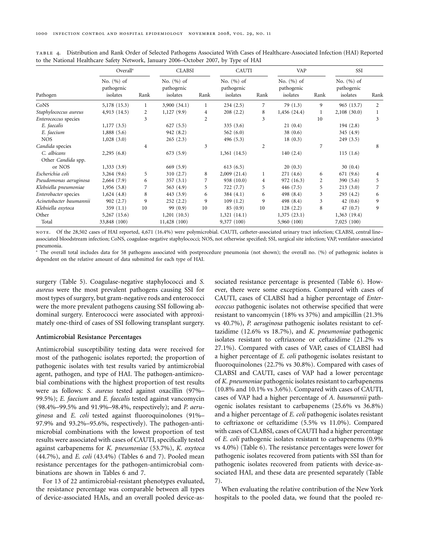|                             | Overall <sup>a</sup>                     |      | <b>CLABSI</b>                            |                | <b>CAUTI</b>                             |                | <b>VAP</b>                               |                | SSI                                      |                |
|-----------------------------|------------------------------------------|------|------------------------------------------|----------------|------------------------------------------|----------------|------------------------------------------|----------------|------------------------------------------|----------------|
| Pathogen                    | No. $(\% )$ of<br>pathogenic<br>isolates | Rank | No. $(\% )$ of<br>pathogenic<br>isolates | Rank           | No. $(\% )$ of<br>pathogenic<br>isolates | Rank           | No. $(\% )$ of<br>pathogenic<br>isolates | Rank           | No. $(\% )$ of<br>pathogenic<br>isolates | Rank           |
| CoNS                        | 5,178 (15.3)                             |      | 3,900 (34.1)                             | 1              | 234(2.5)                                 | 7              | 79 (1.3)                                 | 9              | 965 (13.7)                               | $\overline{2}$ |
| Staphylococcus aureus       | 4,913 (14.5)                             | 2    | 1,127(9.9)                               | $\overline{4}$ | 208(2.2)                                 | 8              | 1,456(24.4)                              | -1             | 2,108(30.0)                              | 1              |
| <i>Enterococcus</i> species |                                          | 3    |                                          | $\overline{2}$ |                                          | 3              |                                          | 10             |                                          | 3              |
| E. faecalis                 | 1,177(3.5)                               |      | 627(5.5)                                 |                | 335(3.6)                                 |                | 21(0.4)                                  |                | 194(2.8)                                 |                |
| E. faecium                  | 1,888(5.6)                               |      | 942 (8.2)                                |                | 562 $(6.0)$                              |                | 38(0.6)                                  |                | 345(4.9)                                 |                |
| <b>NOS</b>                  | 1,028(3.0)                               |      | 265(2.3)                                 |                | 496(5.3)                                 |                | 18(0.3)                                  |                | 249(3.5)                                 |                |
| Candida species             |                                          | 4    |                                          | 3              |                                          | $\overline{2}$ |                                          | 7              |                                          | 8              |
| C. albicans                 | 2,295(6.8)                               |      | 673(5.9)                                 |                | 1,361(14.5)                              |                | 140(2.4)                                 |                | 115(1.6)                                 |                |
| Other Candida spp.          |                                          |      |                                          |                |                                          |                |                                          |                |                                          |                |
| or NOS                      | 1,333(3.9)                               |      | 669 (5.9)                                |                | 613(6.5)                                 |                | 20(0.3)                                  |                | 30(0.4)                                  |                |
| Escherichia coli            | 3,264 (9.6)                              | 5    | 310(2.7)                                 | 8              | 2,009(21.4)                              | 1              | 271(4.6)                                 | 6              | 671 (9.6)                                | 4              |
| Pseudomonas aeruginosa      | 2,664(7.9)                               | 6    | 357(3.1)                                 | 7              | 938 (10.0)                               | $\overline{4}$ | 972 (16.3)                               | $\overline{2}$ | 390(5.6)                                 | 5              |
| Klebsiella pneumoniae       | 1,956(5.8)                               | 7    | 563 (4.9)                                | 5              | 722 (7.7)                                | 5              | 446 (7.5)                                | 5              | 213(3.0)                                 | 7              |
| Enterobacter species        | 1,624(4.8)                               | 8    | 443 (3.9)                                | 6              | 384 (4.1)                                | 6              | 498 (8.4)                                | 3              | 293(4.2)                                 | 6              |
| Acinetobacter baumannii     | 902(2.7)                                 | 9    | 252(2.2)                                 | 9              | 109(1.2)                                 | 9              | 498 (8.4)                                | 3              | 42 $(0.6)$                               | 9              |
| Klebsiella oxytoca          | 359(1.1)                                 | 10   | 99 (0.9)                                 | 10             | 85(0.9)                                  | 10             | 128(2.2)                                 | 8              | 47(0.7)                                  | 9              |
| Other                       | $5,267$ $(15.6)$                         |      | 1,201(10.5)                              |                | 1,321(14.1)                              |                | 1,375(23.1)                              |                | 1,363(19.4)                              |                |
| Total                       | 33,848 (100)                             |      | 11,428 (100)                             |                | 9,377 (100)                              |                | 5,960 (100)                              |                | 7,025 (100)                              |                |

table 4. Distribution and Rank Order of Selected Pathogens Associated With Cases of Healthcare-Associated Infection (HAI) Reported to the National Healthcare Safety Network, January 2006–October 2007, by Type of HAI

note. Of the 28,502 cases of HAI reported, 4,671 (16.4%) were polymicrobial. CAUTI, catheter-associated urinary tract infection; CLABSI, central line– associated bloodstream infection; CoNS, coagulase-negative staphylococci; NOS, not otherwise specified; SSI, surgical site infection; VAP, ventilator-associated pneumonia.

The overall total includes data for 58 pathogens associated with postprocedure pneumonia (not shown); the overall no. (%) of pathogenic isolates is dependent on the relative amount of data submitted for each type of HAI.

surgery (Table 5). Coagulase-negative staphylococci and *S. aureus* were the most prevalent pathogens causing SSI for most types of surgery, but gram-negative rods and enterococci were the more prevalent pathogens causing SSI following abdominal surgery. Enterococci were associated with approximately one-third of cases of SSI following transplant surgery.

#### **Antimicrobial Resistance Percentages**

Antimicrobial susceptibility testing data were received for most of the pathogenic isolates reported; the proportion of pathogenic isolates with test results varied by antimicrobial agent, pathogen, and type of HAI. The pathogen-antimicrobial combinations with the highest proportion of test results were as follows: *S. aureus* tested against oxacillin (97%– 99.5%); *E. faecium* and *E. faecalis* tested against vancomycin (98.4%–99.5% and 91.9%–98.4%, respectively); and *P. aeruginosa* and *E. coli* tested against fluoroquinolones (91%– 97.9% and 93.2%–95.6%, respectively). The pathogen-antimicrobial combinations with the lowest proportion of test results were associated with cases of CAUTI, specifically tested against carbapenems for *K. pneumoniae* (53.7%), *K. oxytoca*  (44.7%), and *E. coli* (43.4%) (Tables 6 and 7). Pooled mean resistance percentages for the pathogen-antimicrobial combinations are shown in Tables 6 and 7.

For 13 of 22 antimicrobial-resistant phenotypes evaluated, the resistance percentage was comparable between all types of device-associated HAIs, and an overall pooled device-associated resistance percentage is presented (Table 6). However, there were some exceptions. Compared with cases of CAUTI, cases of CLABSI had a higher percentage of *Enterococcus* pathogenic isolates not otherwise specified that were resistant to vancomycin (18% vs 37%) and ampicillin (21.3% vs 40.7%), *P. aeruginosa* pathogenic isolates resistant to ceftazidime (12.6% vs 18.7%), and *K. pneumoniae* pathogenic isolates resistant to ceftriaxone or ceftazidime (21.2% vs 27.1%). Compared with cases of VAP, cases of CLABSI had a higher percentage of *E. coli* pathogenic isolates resistant to fluoroquinolones (22.7% vs 30.8%). Compared with cases of CLABSI and CAUTI, cases of VAP had a lower percentage of *K. pneumoniae* pathogenic isolates resistant to carbapenems (10.8% and 10.1% vs 3.6%). Compared with cases of CAUTI, cases of VAP had a higher percentage of *A. baumannii* pathogenic isolates resistant to carbapenems (25.6% vs 36.8%) and a higher percentage of *E. coli* pathogenic isolates resistant to ceftriaxone or ceftazidime (5.5% vs 11.0%). Compared with cases of CLABSI, cases of CAUTI had a higher percentage of *E. coli* pathogenic isolates resistant to carbapenems (0.9% vs 4.0%) (Table 6). The resistance percentages were lower for pathogenic isolates recovered from patients with SSI than for pathogenic isolates recovered from patients with device-associated HAI, and these data are presented separately (Table 7).

When evaluating the relative contribution of the New York hospitals to the pooled data, we found that the pooled re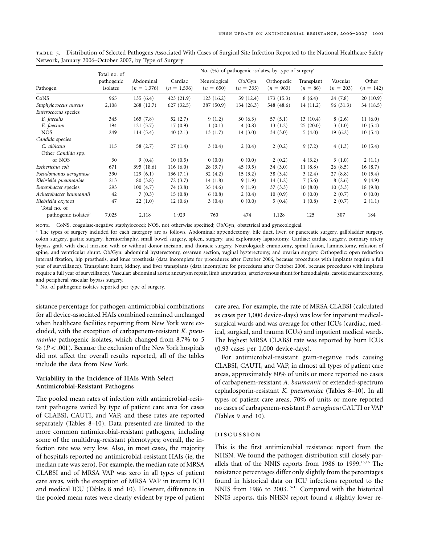|                                  | Total no. of           |                            | No. (%) of pathogenic isolates, by type of surgery <sup>a</sup> |                             |                       |                           |                          |                         |                      |  |  |
|----------------------------------|------------------------|----------------------------|-----------------------------------------------------------------|-----------------------------|-----------------------|---------------------------|--------------------------|-------------------------|----------------------|--|--|
| Pathogen                         | pathogenic<br>isolates | Abdominal<br>$(n = 1,376)$ | Cardiac<br>$(n = 1, 536)$                                       | Neurological<br>$(n = 650)$ | Ob/Gvn<br>$(n = 335)$ | Orthopedic<br>$(n = 963)$ | Transplant<br>$(n = 86)$ | Vascular<br>$(n = 203)$ | Other<br>$(n = 142)$ |  |  |
| CoNS                             | 965                    | 135(6.4)                   | 423 (21.9)                                                      | 123(16.2)                   | 59 (12.4)             | 173(15.3)                 | 8(6.4)                   | 24(7.8)                 | 20(10.9)             |  |  |
| Staphylococcus aureus            | 2,108                  | 268(12.7)                  | 627(32.5)                                                       | 387 (50.9)                  | 134(28.3)             | 548 (48.6)                | 14(11.2)                 | 96(31.3)                | 34 (18.5)            |  |  |
| <i>Enterococcus</i> species      |                        |                            |                                                                 |                             |                       |                           |                          |                         |                      |  |  |
| E. faecalis                      | 345                    | 165(7.8)                   | 52(2.7)                                                         | 9(1.2)                      | 30(6.3)               | 57(5.1)                   | 13(10.4)                 | 8(2.6)                  | 11(6.0)              |  |  |
| E. faecium                       | 194                    | 121(5.7)                   | 17(0.9)                                                         | 1(0.1)                      | 4(0.8)                | 13(1.2)                   | 25(20.0)                 | 3(1.0)                  | 10(5.4)              |  |  |
| <b>NOS</b>                       | 249                    | 114(5.4)                   | 40(2.1)                                                         | 13(1.7)                     | 14(3.0)               | 34(3.0)                   | 5(4.0)                   | 19(6.2)                 | 10(5.4)              |  |  |
| Candida species                  |                        |                            |                                                                 |                             |                       |                           |                          |                         |                      |  |  |
| C. albicans                      | 115                    | 58 (2.7)                   | 27(1.4)                                                         | 3(0.4)                      | 2(0.4)                | 2(0.2)                    | 9(7.2)                   | 4(1.3)                  | 10(5.4)              |  |  |
| Other Candida spp.               |                        |                            |                                                                 |                             |                       |                           |                          |                         |                      |  |  |
| or NOS                           | 30                     | 9(0.4)                     | 10(0.5)                                                         | 0(0.0)                      | 0(0.0)                | 2(0.2)                    | 4(3.2)                   | 3(1.0)                  | 2(1.1)               |  |  |
| Escherichia coli                 | 671                    | 395 (18.6)                 | 116(6.0)                                                        | 28(3.7)                     | 45(9.5)               | 34(3.0)                   | 11(8.8)                  | 26(8.5)                 | 16(8.7)              |  |  |
| Pseudomonas aeruginosa           | 390                    | 129(6.1)                   | 136(7.1)                                                        | 32(4.2)                     | 15(3.2)               | 38 (3.4)                  | 3(2.4)                   | 27(8.8)                 | 10(5.4)              |  |  |
| Klebsiella pneumoniae            | 213                    | 80(3.8)                    | 72(3.7)                                                         | 14(1.8)                     | 9(1.9)                | 14(1.2)                   | 7(5.6)                   | 8(2.6)                  | 9(4.9)               |  |  |
| Enterobacter species             | 293                    | 100(4.7)                   | 74 (3.8)                                                        | 35(4.6)                     | 9(1.9)                | 37(3.3)                   | 10(8.0)                  | 10(3.3)                 | 18(9.8)              |  |  |
| Acinetobacter baumannii          | 42                     | 7(0.3)                     | 15(0.8)                                                         | 6(0.8)                      | 2(0.4)                | 10(0.9)                   | 0(0.0)                   | 2(0.7)                  | 0(0.0)               |  |  |
| Klebsiella oxytoca               | 47                     | 22(1.0)                    | 12(0.6)                                                         | 3(0.4)                      | 0(0.0)                | 5(0.4)                    | 1(0.8)                   | 2(0.7)                  | 2(1.1)               |  |  |
| Total no. of                     |                        |                            |                                                                 |                             |                       |                           |                          |                         |                      |  |  |
| pathogenic isolates <sup>b</sup> | 7,025                  | 2,118                      | 1,929                                                           | 760                         | 474                   | 1,128                     | 125                      | 307                     | 184                  |  |  |

table 5. Distribution of Selected Pathogens Associated With Cases of Surgical Site Infection Reported to the National Healthcare Safety Network, January 2006–October 2007, by Type of Surgery

NOTE. CoNS, coagulase-negative staphylococci; NOS, not otherwise specified; Ob/Gyn, obstetrical and gynecological.<br>a The types of surgery included for each catergory are as follows. Abdominal: appendectomy, bile duct, live colon surgery, gastric surgery, herniorrhaphy, small bowel surgery, spleen, surgery, and exploratory laparotomy. Cardiac: cardiac surgery, coronary artery bypass graft with chest incision with or without donor incision, and thoracic surgery. Neurological: craniotomy, spinal fusion, laminectomy, refusion of spine, and ventricular shunt. Ob/Gyn: abdominal hysterectomy, cesarean section, vaginal hysterectomy, and ovarian surgery. Orthopedic: open reduction internal fixation, hip prosthesis, and knee prosthesis (data incomplete for procedures after October 2006, because procedures with implants require a full year of surveillance). Transplant: heart, kidney, and liver transplants (data incomplete for procedures after October 2006, because procedures with implants require a full year of surveillance). Vascular: abdominal aortic aneurysm repair, limb amputation, arteriovenous shunt for hemodialysis, carotid endarterectomy, and peripheral vascular bypass surgery.

<sup>b</sup> No. of pathogenic isolates reported per type of surgery.

sistance percentage for pathogen-antimicrobial combinations for all device-associated HAIs combined remained unchanged when healthcare facilities reporting from New York were excluded, with the exception of carbapenem-resistant *K. pneumoniae* pathogenic isolates, which changed from 8.7% to 5 % ( $P < .001$ ). Because the exclusion of the New York hospitals did not affect the overall results reported, all of the tables include the data from New York.

# **Variability in the Incidence of HAIs With Select Antimicrobial-Resistant Pathogens**

The pooled mean rates of infection with antimicrobial-resistant pathogens varied by type of patient care area for cases of CLABSI, CAUTI, and VAP, and these rates are reported separately (Tables 8–10). Data presented are limited to the more common antimicrobial-resistant pathogens, including some of the multidrug-resistant phenotypes; overall, the infection rate was very low. Also, in most cases, the majority of hospitals reported no antimicrobial-resistant HAIs (ie, the median rate was zero). For example, the median rate of MRSA CLABSI and of MRSA VAP was zero in all types of patient care areas, with the exception of MRSA VAP in trauma ICU and medical ICU (Tables 8 and 10). However, differences in the pooled mean rates were clearly evident by type of patient

care area. For example, the rate of MRSA CLABSI (calculated as cases per 1,000 device-days) was low for inpatient medicalsurgical wards and was average for other ICUs (cardiac, medical, surgical, and trauma ICUs) and inpatient medical wards. The highest MRSA CLABSI rate was reported by burn ICUs (0.93 cases per 1,000 device-days).

For antimicrobial-resistant gram-negative rods causing CLABSI, CAUTI, and VAP, in almost all types of patient care areas, approximately 80% of units or more reported no cases of carbapenem-resistant *A. baumannii* or extended-spectrum cephalosporin-resistant *K. pneumoniae* (Tables 8–10). In all types of patient care areas, 70% of units or more reported no cases of carbapenem-resistant *P. aeruginosa* CAUTI or VAP (Tables 9 and 10).

# discussion

This is the first antimicrobial resistance report from the NHSN. We found the pathogen distribution still closely parallels that of the NNIS reports from 1986 to 1999.15,16 The resistance percentages differ only slightly from the percentages found in historical data on ICU infections reported to the NNIS from 1986 to 2003.15-18 Compared with the historical NNIS reports, this NHSN report found a slightly lower re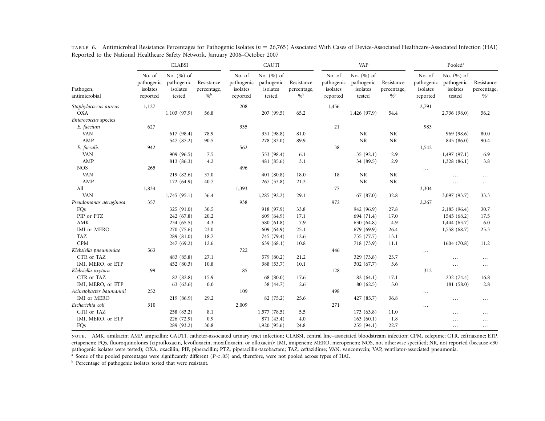|                            |                                              | <b>CLABSI</b>                                      |                                           |                                              | <b>CAUTI</b>                                       |                                              |                                              | <b>VAP</b>                                         |                                           |                                              | Pooled <sup>a</sup>                                |                                           |
|----------------------------|----------------------------------------------|----------------------------------------------------|-------------------------------------------|----------------------------------------------|----------------------------------------------------|----------------------------------------------|----------------------------------------------|----------------------------------------------------|-------------------------------------------|----------------------------------------------|----------------------------------------------------|-------------------------------------------|
| Pathogen,<br>antimicrobial | No. of<br>pathogenic<br>isolates<br>reported | No. $(\% )$ of<br>pathogenic<br>isolates<br>tested | Resistance<br>percentage,<br>$\%^{\rm b}$ | No. of<br>pathogenic<br>isolates<br>reported | No. $(\% )$ of<br>pathogenic<br>isolates<br>tested | Resistance<br>percentage,<br>$\%^{\text{b}}$ | No. of<br>pathogenic<br>isolates<br>reported | No. $(\% )$ of<br>pathogenic<br>isolates<br>tested | Resistance<br>percentage,<br>$\%^{\rm b}$ | No. of<br>pathogenic<br>isolates<br>reported | No. $(\% )$ of<br>pathogenic<br>isolates<br>tested | Resistance<br>percentage,<br>$\%^{\rm b}$ |
| Staphylococcus aureus      | 1,127                                        |                                                    |                                           | 208                                          |                                                    |                                              | 1,456                                        |                                                    |                                           | 2,791                                        |                                                    |                                           |
| <b>OXA</b>                 |                                              | 1,103(97.9)                                        | 56.8                                      |                                              | 207 (99.5)                                         | 65.2                                         |                                              | 1,426 (97.9)                                       | 54.4                                      |                                              | 2,736 (98.0)                                       | 56.2                                      |
| Enterococcus species       |                                              |                                                    |                                           |                                              |                                                    |                                              |                                              |                                                    |                                           |                                              |                                                    |                                           |
| E. faecium                 | 627                                          |                                                    |                                           | 335                                          |                                                    |                                              | 21                                           |                                                    |                                           | 983                                          |                                                    |                                           |
| <b>VAN</b>                 |                                              | 617 (98.4)                                         | 78.9                                      |                                              | 331 (98.8)                                         | 81.0                                         |                                              | <b>NR</b>                                          | <b>NR</b>                                 |                                              | 969 (98.6)                                         | 80.0                                      |
| AMP                        |                                              | 547 (87.2)                                         | 90.5                                      |                                              | 278 (83.0)                                         | 89.9                                         |                                              | <b>NR</b>                                          | NR                                        |                                              | 845 (86.0)                                         | 90.4                                      |
| E. faecalis                | 942                                          |                                                    |                                           | 562                                          |                                                    |                                              | 38                                           |                                                    |                                           | 1,542                                        |                                                    |                                           |
| <b>VAN</b>                 |                                              | 909 (96.5)                                         | 7.5                                       |                                              | 553 (98.4)                                         | 6.1                                          |                                              | 35 $(92.1)$                                        | 2.9                                       |                                              | 1,497(97.1)                                        | 6.9                                       |
| AMP                        |                                              | 813 (86.3)                                         | 4.2                                       |                                              | 481 (85.6)                                         | 3.1                                          |                                              | 34 (89.5)                                          | 2.9                                       |                                              | 1,328(86.1)                                        | 3.8                                       |
| <b>NOS</b>                 | 265                                          |                                                    |                                           | 496                                          |                                                    |                                              |                                              |                                                    |                                           | $\cdots$                                     |                                                    |                                           |
| <b>VAN</b>                 |                                              | 219 (82.6)                                         | 37.0                                      |                                              | 401(80.8)                                          | 18.0                                         | 18                                           | <b>NR</b>                                          | <b>NR</b>                                 |                                              | $\cdots$                                           | $\ldots$                                  |
| AMP                        |                                              | 172 (64.9)                                         | 40.7                                      |                                              | 267(53.8)                                          | 21.3                                         |                                              | $\rm NR$                                           | $\rm NR$                                  |                                              | $\cdots$                                           | $\cdots$                                  |
| All                        | 1,834                                        |                                                    |                                           | 1,393                                        |                                                    |                                              | 77                                           |                                                    |                                           | 3,304                                        |                                                    |                                           |
| <b>VAN</b>                 |                                              | 1,745(95.1)                                        | 36.4                                      |                                              | 1,285(92.2)                                        | 29.1                                         |                                              | 67 (87.0)                                          | 32.8                                      |                                              | 3,097 (93.7)                                       | 33.3                                      |
| Pseudomonas aeruginosa     | 357                                          |                                                    |                                           | 938                                          |                                                    |                                              | 972                                          |                                                    |                                           | 2,267                                        |                                                    |                                           |
| FQs                        |                                              | 325 (91.0)                                         | 30.5                                      |                                              | 918 (97.9)                                         | 33.8                                         |                                              | 942 (96.9)                                         | 27.8                                      |                                              | 2,185 (96.4)                                       | 30.7                                      |
| PIP or PTZ                 |                                              | 242 (67.8)                                         | 20.2                                      |                                              | 609 (64.9)                                         | 17.1                                         |                                              | 694 (71.4)                                         | 17.0                                      |                                              | 1545 (68.2)                                        | 17.5                                      |
| AMK                        |                                              | 234 (65.5)                                         | 4.3                                       |                                              | 580 (61.8)                                         | 7.9                                          |                                              | 630 (64.8)                                         | 4.9                                       |                                              | 1,444(63.7)                                        | 6.0                                       |
| IMI or MERO                |                                              | 270 (75.6)                                         | 23.0                                      |                                              | 609 (64.9)                                         | 25.1                                         |                                              | 679 (69.9)                                         | 26.4                                      |                                              | 1,558 (68.7)                                       | 25.3                                      |
| <b>TAZ</b>                 |                                              | 289 (81.0)                                         | 18.7                                      |                                              | 745 (79.4)                                         | 12.6                                         |                                              | 755 (77.7)                                         | 13.1                                      |                                              |                                                    |                                           |
| <b>CPM</b>                 |                                              | 247 (69.2)                                         | 12.6                                      |                                              | 639 (68.1)                                         | 10.8                                         |                                              | 718 (73.9)                                         | 11.1                                      |                                              | 1604(70.8)                                         | 11.2                                      |
| Klebsiella pneumoniae      | 563                                          |                                                    |                                           | 722                                          |                                                    |                                              | 446                                          |                                                    |                                           | $\cdots$                                     |                                                    |                                           |
| CTR or TAZ                 |                                              | 483 (85.8)                                         | 27.1                                      |                                              | 579 (80.2)                                         | 21.2                                         |                                              | 329 (73.8)                                         | 23.7                                      |                                              | $\cdots$                                           | $\cdots$                                  |
| IMI, MERO, or ETP          |                                              | 452 (80.3)                                         | 10.8                                      |                                              | 388 (53.7)                                         | 10.1                                         |                                              | 302(67.7)                                          | 3.6                                       |                                              | $\cdots$                                           | $\cdots$                                  |
| Klebsiella oxytoca         | 99                                           |                                                    |                                           | 85                                           |                                                    |                                              | 128                                          |                                                    |                                           | 312                                          |                                                    |                                           |
| CTR or TAZ                 |                                              | 82 (82.8)                                          | 15.9                                      |                                              | 68 (80.0)                                          | 17.6                                         |                                              | 82(64.1)                                           | 17.1                                      |                                              | 232 (74.4)                                         | 16.8                                      |
| IMI, MERO, or ETP          |                                              | 63(63.6)                                           | 0.0                                       |                                              | 38 (44.7)                                          | 2.6                                          |                                              | 80 (62.5)                                          | 5.0                                       |                                              | 181 (58.0)                                         | 2.8                                       |
| Acinetobacter baumannii    | 252                                          |                                                    |                                           | 109                                          |                                                    |                                              | 498                                          |                                                    |                                           | .                                            |                                                    |                                           |
| IMI or MERO                |                                              | 219 (86.9)                                         | 29.2                                      |                                              | 82 (75.2)                                          | 25.6                                         |                                              | 427 (85.7)                                         | 36.8                                      |                                              | .                                                  | $\cdots$                                  |
| Escherichia coli           | 310                                          |                                                    |                                           | 2,009                                        |                                                    |                                              | 271                                          |                                                    |                                           | $\cdots$                                     |                                                    |                                           |
| CTR or TAZ                 |                                              | 258 (83.2)                                         | 8.1                                       |                                              | 1,577(78.5)                                        | 5.5                                          |                                              | 173(63.8)                                          | 11.0                                      |                                              |                                                    | $\cdots$                                  |
| IMI, MERO, or ETP          |                                              | 226 (72.9)                                         | 0.9                                       |                                              | 871 (43.4)                                         | 4.0                                          |                                              | 163(60.1)                                          | 1.8                                       |                                              | $\cdots$                                           | $\cdots$                                  |
| FQs                        |                                              | 289 (93.2)                                         | 30.8                                      |                                              | 1,920(95.6)                                        | 24.8                                         |                                              | 255(94.1)                                          | 22.7                                      |                                              | $\cdots$                                           | $\cdots$                                  |

TABLE 6. Antimicrobial Resistance Percentages for Pathogenic Isolates ( $n = 26,765$ ) Associated With Cases of Device-Associated Healthcare-Associated Infection (HAI) Reported to the National Healthcare Safety Network, January 2006–October 2007

note. AMK, amikacin; AMP, ampicillin; CAUTI, catheter-associated urinary tract infection; CLABSI, central line–associated bloodstream infection; CPM, cefepime; CTR, ceftriaxone; ETP, ertapenem; FQs, fluoroquinolones (ciprofloxacin, levofloxacin, moxifloxacin, or ofloxacin); IMI, imipenem; MERO, meropenem; NOS, not otherwise specified; NR, not reported (because <30 pathogenic isolates were tested); OXA, oxacillin; PIP, piperacillin; PTZ, piperacillin-tazobactam; TAZ, ceftazidime; VAN, vancomycin; VAP, ventilator-associated pneumonia. <sup>a</sup> Some of the pooled percentages were significantly different ( $P$  < .05) and, therefore, were not pooled across types of HAI.

**b** Percentage of pathogenic isolates tested that were resistant.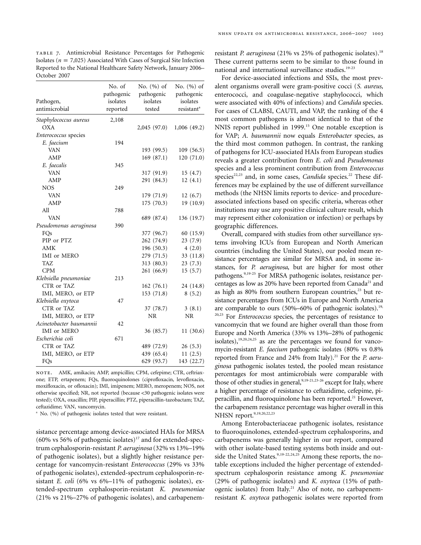table 7. Antimicrobial Resistance Percentages for Pathogenic Isolates ( $n = 7,025$ ) Associated With Cases of Surgical Site Infection Reported to the National Healthcare Safety Network, January 2006– October 2007

| Pathogen,<br>antimicrobial | No. of<br>pathogenic<br>isolates<br>reported | No. $(\%)$ of<br>pathogenic<br>isolates<br>tested | No. (%) of<br>pathogenic<br>isolates<br>resistant <sup>a</sup> |
|----------------------------|----------------------------------------------|---------------------------------------------------|----------------------------------------------------------------|
| Staphylococcus aureus      | 2,108                                        |                                                   |                                                                |
| OXA                        |                                              | 2,045(97.0)                                       | 1,006(49.2)                                                    |
| Enterococcus species       |                                              |                                                   |                                                                |
| E. faecium                 | 194                                          |                                                   |                                                                |
| <b>VAN</b>                 |                                              | 193 (99.5)                                        | 109(56.5)                                                      |
| AMP                        |                                              | 169(87.1)                                         | 120(71.0)                                                      |
| E. faecalis                | 345                                          |                                                   |                                                                |
| <b>VAN</b>                 |                                              | 317 (91.9)                                        | 15(4.7)                                                        |
| AMP                        |                                              | 291 (84.3)                                        | 12(4.1)                                                        |
| <b>NOS</b>                 | 249                                          |                                                   |                                                                |
| <b>VAN</b>                 |                                              | 179 (71.9)                                        | 12(6.7)                                                        |
| AMP                        |                                              | 175 (70.3)                                        | 19(10.9)                                                       |
| All                        | 788                                          |                                                   |                                                                |
| VAN                        |                                              | 689 (87.4)                                        | 136(19.7)                                                      |
| Pseudomonas aeruginosa     | 390                                          |                                                   |                                                                |
| FQs                        |                                              | 377 (96.7)                                        | 60(15.9)                                                       |
| PIP or PTZ                 |                                              | 262 (74.9)                                        | 23(7.9)                                                        |
| <b>AMK</b>                 |                                              | 196(50.3)                                         | 4(2.0)                                                         |
| IMI or MERO                |                                              | 279 (71.5)                                        | 33 (11.8)                                                      |
| <b>TAZ</b>                 |                                              | 313 (80.3)                                        | 23(7.3)                                                        |
| <b>CPM</b>                 |                                              | 261 (66.9)                                        | 15(5.7)                                                        |
| Klebsiella pneumoniae      | 213                                          |                                                   |                                                                |
| CTR or TAZ                 |                                              | 162(76.1)                                         | 24 (14.8)                                                      |
| IMI, MERO, or ETP          |                                              | 153 (71.8)                                        | 8(5.2)                                                         |
| Klebsiella oxytoca         | 47                                           |                                                   |                                                                |
| CTR or TAZ                 |                                              | 37 (78.7)                                         | 3(8.1)                                                         |
| IMI, MERO, or ETP          |                                              | <b>NR</b>                                         | <b>NR</b>                                                      |
| Acinetobacter baumannii    | 42                                           |                                                   |                                                                |
| <b>IMI</b> or MERO         |                                              | 36 (85.7)                                         | 11(30.6)                                                       |
| Escherichia coli           | 671                                          |                                                   |                                                                |
| CTR or TAZ                 |                                              | 489 (72.9)                                        | 26(5.3)                                                        |
| IMI, MERO, or ETP          |                                              | 439 (65.4)                                        | 11(2.5)                                                        |
| FQs                        |                                              | 629 (93.7)                                        | 143 (22.7)                                                     |

note. AMK, amikacin; AMP, ampicillin; CPM, cefepime; CTR, ceftriaxone; ETP, ertapenem; FQs, fluoroquinolones (ciprofloxacin, levofloxacin, moxifloxacin, or ofloxacin); IMI, imipenem; MERO, meropenem; NOS, not otherwise specified; NR, not reported (because <30 pathogenic isolates were tested); OXA, oxacillin; PIP, piperacillin; PTZ, piperacillin-tazobactam; TAZ, ceftazidime; VAN, vancomycin.

<sup>a</sup> No. (%) of pathogenic isolates tested that were resistant.

sistance percentage among device-associated HAIs for MRSA (60% vs 56% of pathogenic isolates)<sup>17</sup> and for extended-spectrum cephalosporin-resistant *P. aeruginosa* (32% vs 13%–19% of pathogenic isolates), but a slightly higher resistance percentage for vancomycin-resistant *Enterococcus* (29% vs 33% of pathogenic isolates), extended-spectrum cephalosporin-resistant *E. coli* (6% vs 6%–11% of pathogenic isolates), extended-spectrum cephalosporin-resistant *K. pneumoniae*  (21% vs 21%–27% of pathogenic isolates), and carbapenemresistant *P. aeruginosa* (21% vs 25% of pathogenic isolates).<sup>18</sup> These current patterns seem to be similar to those found in national and international surveillance studies.<sup>19-23</sup>

For device-associated infections and SSIs, the most prevalent organisms overall were gram-positive cocci (*S. aureus,*  enterococci, and coagulase-negative staphylococci, which were associated with 40% of infections) and *Candida* species. For cases of CLABSI, CAUTI, and VAP, the ranking of the 4 most common pathogens is almost identical to that of the NNIS report published in 1999.<sup>15</sup> One notable exception is for VAP; *A. baumannii* now equals *Enterobacter* species, as the third most common pathogen. In contrast, the ranking of pathogens for ICU-associated HAIs from European studies reveals a greater contribution from *E. coli* and *Pseudomonas*  species and a less prominent contribution from *Enterococcus*  species<sup>22,23</sup> and, in some cases, *Candida* species.<sup>22</sup> These differences may be explained by the use of different surveillance methods (the NHSN limits reports to device- and procedureassociated infections based on specific criteria, whereas other institutions may use any positive clinical culture result, which may represent either colonization or infection) or perhaps by geographic differences.

Overall, compared with studies from other surveillance systems involving ICUs from European and North American countries (including the United States), our pooled mean resistance percentages are similar for MRSA and, in some instances, for *P. aeruginosa*, but are higher for most other pathogens.<sup>9,19-25</sup> For MRSA pathogenic isolates, resistance percentages as low as 20% have been reported from Canada<sup>21</sup> and as high as 80% from southern European countries,<sup>23</sup> but resistance percentages from ICUs in Europe and North America are comparable to ours  $(50\% - 60\% \text{ of pathogenic isolates}).^{19}$ 20,23 For *Enterococcus* species, the percentages of resistance to vancomycin that we found are higher overall than those from Europe and North America (33% vs 13%–28% of pathogenic isolates), $19,20,24,25$  as are the percentages we found for vancomycin-resistant *E. faecium* pathogenic isolates (80% vs 0.8% reported from France and 24% from Italy).<sup>21</sup> For the *P. aeruginosa* pathogenic isolates tested, the pooled mean resistance percentages for most antimicrobials were comparable with those of other studies in general, 9,19-21,23-26 except for Italy, where a higher percentage of resistance to ceftazidime, cefepime, piperacillin, and fluoroquinolone has been reported.<sup>21</sup> However, the carbapenem resistance percentage was higher overall in this NHSN report.<sup>9,19,20,22,23</sup>

Among Enterobacteriaceae pathogenic isolates, resistance to fluoroquinolones, extended-spectrum cephalosporins, and carbapenems was generally higher in our report, compared with other isolate-based testing systems both inside and outside the United States.<sup>9,19-22,24,25</sup> Among these reports, the notable exceptions included the higher percentage of extendedspectrum cephalosporin resistance among *K. pneumoniae*  (29% of pathogenic isolates) and *K. oxytoca* (15% of pathogenic isolates) from Italy.<sup>21</sup> Also of note, no carbapenemresistant *K. oxytoca* pathogenic isolates were reported from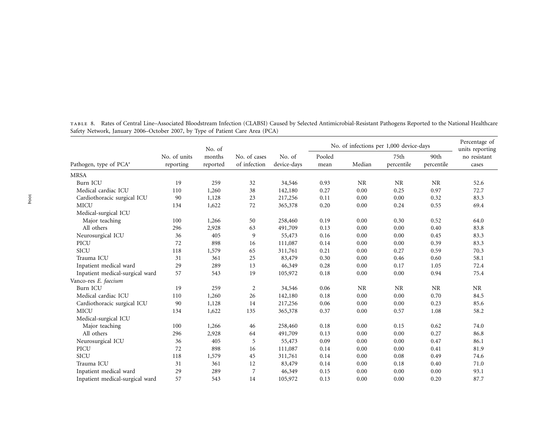|                                    |              | No. of   |                |             | No. of infections per 1,000 device-days |           |            |            | Percentage of<br>units reporting |
|------------------------------------|--------------|----------|----------------|-------------|-----------------------------------------|-----------|------------|------------|----------------------------------|
|                                    | No. of units | months   | No. of cases   | No. of      | Pooled                                  |           | 75th       | 90th       | no resistant                     |
| Pathogen, type of PCA <sup>a</sup> | reporting    | reported | of infection   | device-days | mean                                    | Median    | percentile | percentile | cases                            |
| <b>MRSA</b>                        |              |          |                |             |                                         |           |            |            |                                  |
| Burn ICU                           | 19           | 259      | 32             | 34,546      | 0.93                                    | <b>NR</b> | <b>NR</b>  | <b>NR</b>  | 52.6                             |
| Medical cardiac ICU                | 110          | 1,260    | 38             | 142,180     | 0.27                                    | 0.00      | 0.25       | 0.97       | 72.7                             |
| Cardiothoracic surgical ICU        | 90           | 1,128    | 23             | 217,256     | 0.11                                    | 0.00      | 0.00       | 0.32       | 83.3                             |
| <b>MICU</b>                        | 134          | 1,622    | 72             | 365,378     | 0.20                                    | 0.00      | 0.24       | 0.55       | 69.4                             |
| Medical-surgical ICU               |              |          |                |             |                                         |           |            |            |                                  |
| Major teaching                     | 100          | 1,266    | 50             | 258,460     | 0.19                                    | 0.00      | 0.30       | 0.52       | 64.0                             |
| All others                         | 296          | 2,928    | 63             | 491,709     | 0.13                                    | 0.00      | 0.00       | 0.40       | 83.8                             |
| Neurosurgical ICU                  | 36           | 405      | 9              | 55,473      | 0.16                                    | 0.00      | 0.00       | 0.45       | 83.3                             |
| PICU                               | 72           | 898      | 16             | 111,087     | 0.14                                    | 0.00      | 0.00       | 0.39       | 83.3                             |
| <b>SICU</b>                        | 118          | 1,579    | 65             | 311,761     | 0.21                                    | 0.00      | 0.27       | 0.59       | 70.3                             |
| Trauma ICU                         | 31           | 361      | 25             | 83,479      | 0.30                                    | 0.00      | 0.46       | 0.60       | 58.1                             |
| Inpatient medical ward             | 29           | 289      | 13             | 46,349      | 0.28                                    | 0.00      | 0.17       | 1.05       | 72.4                             |
| Inpatient medical-surgical ward    | 57           | 543      | 19             | 105,972     | 0.18                                    | 0.00      | 0.00       | 0.94       | 75.4                             |
| Vanco-res E. faecium               |              |          |                |             |                                         |           |            |            |                                  |
| Burn ICU                           | 19           | 259      | $\overline{c}$ | 34,546      | 0.06                                    | <b>NR</b> | <b>NR</b>  | <b>NR</b>  | <b>NR</b>                        |
| Medical cardiac ICU                | 110          | 1,260    | 26             | 142,180     | 0.18                                    | 0.00      | 0.00       | 0.70       | 84.5                             |
| Cardiothoracic surgical ICU        | 90           | 1,128    | 14             | 217,256     | 0.06                                    | 0.00      | 0.00       | 0.23       | 85.6                             |
| <b>MICU</b>                        | 134          | 1,622    | 135            | 365,378     | 0.37                                    | 0.00      | 0.57       | 1.08       | 58.2                             |
| Medical-surgical ICU               |              |          |                |             |                                         |           |            |            |                                  |
| Major teaching                     | 100          | 1,266    | 46             | 258,460     | 0.18                                    | 0.00      | 0.15       | 0.62       | 74.0                             |
| All others                         | 296          | 2,928    | 64             | 491,709     | 0.13                                    | 0.00      | 0.00       | 0.27       | 86.8                             |
| Neurosurgical ICU                  | 36           | 405      | 5              | 55,473      | 0.09                                    | 0.00      | 0.00       | 0.47       | 86.1                             |
| PICU                               | 72           | 898      | 16             | 111,087     | 0.14                                    | 0.00      | 0.00       | 0.41       | 81.9                             |
| <b>SICU</b>                        | 118          | 1,579    | 45             | 311,761     | 0.14                                    | 0.00      | 0.08       | 0.49       | 74.6                             |
| Trauma ICU                         | 31           | 361      | 12             | 83,479      | 0.14                                    | 0.00      | 0.18       | 0.40       | 71.0                             |
| Inpatient medical ward             | 29           | 289      | 7              | 46,349      | 0.15                                    | 0.00      | 0.00       | 0.00       | 93.1                             |
| Inpatient medical-surgical ward    | 57           | 543      | 14             | 105,972     | 0.13                                    | 0.00      | 0.00       | 0.20       | 87.7                             |

table 8. Rates of Central Line–Associated Bloodstream Infection (CLABSI) Caused by Selected Antimicrobial-Resistant Pathogens Reported to the National Healthcare Safety Network, January 2006–October 2007, by Type of Patient Care Area (PCA)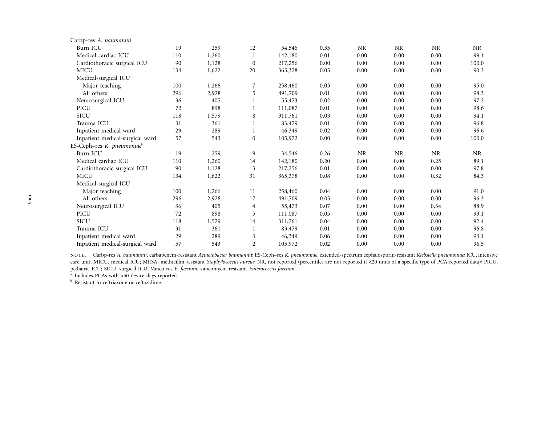| Carbp-res A. baumannii                 |     |       |                  |         |      |           |           |           |           |
|----------------------------------------|-----|-------|------------------|---------|------|-----------|-----------|-----------|-----------|
| Burn ICU                               | 19  | 259   | 12               | 34,546  | 0.35 | <b>NR</b> | <b>NR</b> | <b>NR</b> | <b>NR</b> |
| Medical cardiac ICU                    | 110 | 1,260 | 1                | 142,180 | 0.01 | 0.00      | 0.00      | 0.00      | 99.1      |
| Cardiothoracic surgical ICU            | 90  | 1,128 | $\bf{0}$         | 217,256 | 0.00 | 0.00      | 0.00      | 0.00      | 100.0     |
| <b>MICU</b>                            | 134 | 1,622 | 20               | 365,378 | 0.05 | 0.00      | 0.00      | 0.00      | 90.3      |
| Medical-surgical ICU                   |     |       |                  |         |      |           |           |           |           |
| Major teaching                         | 100 | 1,266 | 7                | 258,460 | 0.03 | 0.00      | 0.00      | 0.00      | 95.0      |
| All others                             | 296 | 2,928 | 5                | 491,709 | 0.01 | 0.00      | 0.00      | 0.00      | 98.3      |
| Neurosurgical ICU                      | 36  | 405   | 1                | 55,473  | 0.02 | 0.00      | 0.00      | 0.00      | 97.2      |
| PICU                                   | 72  | 898   | 1                | 111,087 | 0.01 | 0.00      | 0.00      | 0.00      | 98.6      |
| SICU                                   | 118 | 1,579 | 8                | 311,761 | 0.03 | 0.00      | 0.00      | 0.00      | 94.1      |
| Trauma ICU                             | 31  | 361   | 1                | 83,479  | 0.01 | 0.00      | 0.00      | 0.00      | 96.8      |
| Inpatient medical ward                 | 29  | 289   | 1                | 46,349  | 0.02 | 0.00      | 0.00      | 0.00      | 96.6      |
| Inpatient medical-surgical ward        | 57  | 543   | $\boldsymbol{0}$ | 105,972 | 0.00 | 0.00      | 0.00      | 0.00      | 100.0     |
| ES-Ceph–res K. pneumoniae <sup>b</sup> |     |       |                  |         |      |           |           |           |           |
| Burn ICU                               | 19  | 259   | 9                | 34,546  | 0.26 | NR        | <b>NR</b> | <b>NR</b> | <b>NR</b> |
| Medical cardiac ICU                    | 110 | 1,260 | 14               | 142,180 | 0.20 | 0.00      | 0.00      | 0.25      | 89.1      |
| Cardiothoracic surgical ICU            | 90  | 1,128 | 3                | 217,256 | 0.01 | 0.00      | 0.00      | 0.00      | 97.8      |
| <b>MICU</b>                            | 134 | 1,622 | 31               | 365,378 | 0.08 | 0.00      | 0.00      | 0.32      | 84.3      |
| Medical-surgical ICU                   |     |       |                  |         |      |           |           |           |           |
| Major teaching                         | 100 | 1,266 | 11               | 258,460 | 0.04 | 0.00      | 0.00      | 0.00      | 91.0      |
| All others                             | 296 | 2,928 | 17               | 491,709 | 0.03 | 0.00      | 0.00      | 0.00      | 96.3      |
| Neurosurgical ICU                      | 36  | 405   | 4                | 55,473  | 0.07 | 0.00      | 0.00      | 0.34      | 88.9      |
| PICU                                   | 72  | 898   | 5                | 111,087 | 0.05 | 0.00      | 0.00      | 0.00      | 93.1      |
| <b>SICU</b>                            | 118 | 1,579 | 14               | 311,761 | 0.04 | 0.00      | 0.00      | 0.00      | 92.4      |
| Trauma ICU                             | 31  | 361   | 1                | 83,479  | 0.01 | 0.00      | 0.00      | 0.00      | 96.8      |
| Inpatient medical ward                 | 29  | 289   | 3                | 46,349  | 0.06 | 0.00      | 0.00      | 0.00      | 93.1      |
| Inpatient medical-surgical ward        | 57  | 543   | $\overline{2}$   | 105,972 | 0.02 | 0.00      | 0.00      | 0.00      | 96.5      |

note. Carbp-res *A. baumannii,* carbapenem-resistant *Acinetobacter baumannii*; ES-Ceph–res *K. pneumoniae,* extended-spectrum cephalosporin-resistant *Klebsiella pneumoniae*; ICU, intensive care unit; MICU, medical ICU; MRSA, methicillin-resistant *Staphylococcus aureus*; NR, not reported (percentiles are not reported if <20 units of a specific type of PCA reported data); PICU, pediatric ICU; SICU, surgical ICU; Vanco-res *E. faecium,* vancomycin-resistant *Enterococcus faecium*.

<sup>a</sup> Includes PCAs with >50 device-days reported.

**b** Resistant to ceftriaxone or ceftazidime.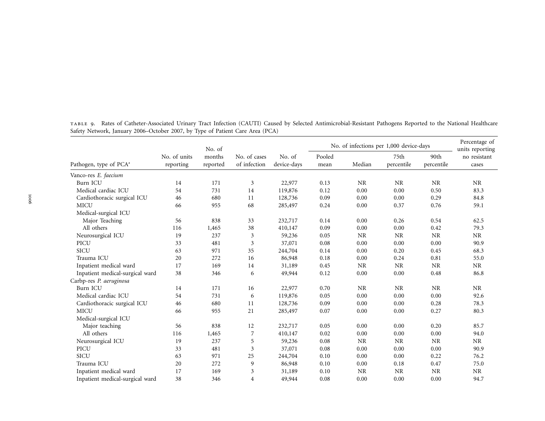|                                    |                           | No. of             |                              |                       |                | No. of infections per 1,000 device-days |                    |                    |                                          |
|------------------------------------|---------------------------|--------------------|------------------------------|-----------------------|----------------|-----------------------------------------|--------------------|--------------------|------------------------------------------|
| Pathogen, type of PCA <sup>a</sup> | No. of units<br>reporting | months<br>reported | No. of cases<br>of infection | No. of<br>device-days | Pooled<br>mean | Median                                  | 75th<br>percentile | 90th<br>percentile | units reporting<br>no resistant<br>cases |
| Vanco-res E. faecium               |                           |                    |                              |                       |                |                                         |                    |                    |                                          |
| Burn ICU                           | 14                        | 171                | 3                            | 22,977                | 0.13           | <b>NR</b>                               | <b>NR</b>          | <b>NR</b>          | <b>NR</b>                                |
| Medical cardiac ICU                | 54                        | 731                | 14                           | 119,876               | 0.12           | 0.00                                    | 0.00               | 0.50               | 83.3                                     |
| Cardiothoracic surgical ICU        | 46                        | 680                | 11                           | 128,736               | 0.09           | 0.00                                    | 0.00               | 0.29               | 84.8                                     |
| <b>MICU</b>                        | 66                        | 955                | 68                           | 285,497               | 0.24           | 0.00                                    | 0.37               | 0.76               | 59.1                                     |
| Medical-surgical ICU               |                           |                    |                              |                       |                |                                         |                    |                    |                                          |
| Major Teaching                     | 56                        | 838                | 33                           | 232,717               | 0.14           | 0.00                                    | 0.26               | 0.54               | 62.5                                     |
| All others                         | 116                       | 1,465              | 38                           | 410,147               | 0.09           | 0.00                                    | 0.00               | 0.42               | 79.3                                     |
| Neurosurgical ICU                  | 19                        | 237                | 3                            | 59,236                | 0.05           | <b>NR</b>                               | <b>NR</b>          | <b>NR</b>          | <b>NR</b>                                |
| PICU                               | 33                        | 481                | 3                            | 37,071                | 0.08           | 0.00                                    | 0.00               | 0.00               | 90.9                                     |
| <b>SICU</b>                        | 63                        | 971                | 35                           | 244,704               | 0.14           | 0.00                                    | 0.20               | 0.45               | 68.3                                     |
| Trauma ICU                         | 20                        | 272                | 16                           | 86,948                | 0.18           | 0.00                                    | 0.24               | 0.81               | 55.0                                     |
| Inpatient medical ward             | 17                        | 169                | 14                           | 31,189                | 0.45           | <b>NR</b>                               | <b>NR</b>          | <b>NR</b>          | <b>NR</b>                                |
| Inpatient medical-surgical ward    | 38                        | 346                | 6                            | 49,944                | 0.12           | 0.00                                    | 0.00               | 0.48               | 86.8                                     |
| Carbp-res P. aeruginosa            |                           |                    |                              |                       |                |                                         |                    |                    |                                          |
| Burn ICU                           | 14                        | 171                | 16                           | 22,977                | 0.70           | <b>NR</b>                               | <b>NR</b>          | <b>NR</b>          | <b>NR</b>                                |
| Medical cardiac ICU                | 54                        | 731                | 6                            | 119,876               | 0.05           | 0.00                                    | 0.00               | 0.00               | 92.6                                     |
| Cardiothoracic surgical ICU        | 46                        | 680                | 11                           | 128,736               | 0.09           | 0.00                                    | 0.00               | 0.28               | 78.3                                     |
| <b>MICU</b>                        | 66                        | 955                | 21                           | 285,497               | 0.07           | 0.00                                    | 0.00               | 0.27               | 80.3                                     |
| Medical-surgical ICU               |                           |                    |                              |                       |                |                                         |                    |                    |                                          |
| Major teaching                     | 56                        | 838                | 12                           | 232,717               | 0.05           | 0.00                                    | 0.00               | 0.20               | 85.7                                     |
| All others                         | 116                       | 1,465              | 7                            | 410,147               | 0.02           | 0.00                                    | 0.00               | 0.00               | 94.0                                     |
| Neurosurgical ICU                  | 19                        | 237                | 5                            | 59,236                | 0.08           | <b>NR</b>                               | NR                 | <b>NR</b>          | $\rm NR$                                 |
| <b>PICU</b>                        | 33                        | 481                | 3                            | 37,071                | 0.08           | 0.00                                    | 0.00               | 0.00               | 90.9                                     |
| <b>SICU</b>                        | 63                        | 971                | 25                           | 244,704               | 0.10           | 0.00                                    | 0.00               | 0.22               | 76.2                                     |
| Trauma ICU                         | 20                        | 272                | 9                            | 86,948                | 0.10           | 0.00                                    | 0.18               | 0.47               | 75.0                                     |
| Inpatient medical ward             | 17                        | 169                | 3                            | 31,189                | 0.10           | <b>NR</b>                               | <b>NR</b>          | <b>NR</b>          | <b>NR</b>                                |
| Inpatient medical-surgical ward    | 38                        | 346                | 4                            | 49,944                | 0.08           | 0.00                                    | 0.00               | 0.00               | 94.7                                     |

table 9. Rates of Catheter-Associated Urinary Tract Infection (CAUTI) Caused by Selected Antimicrobial-Resistant Pathogens Reported to the National Healthcare Safety Network, January 2006–October 2007, by Type of Patient Care Area (PCA)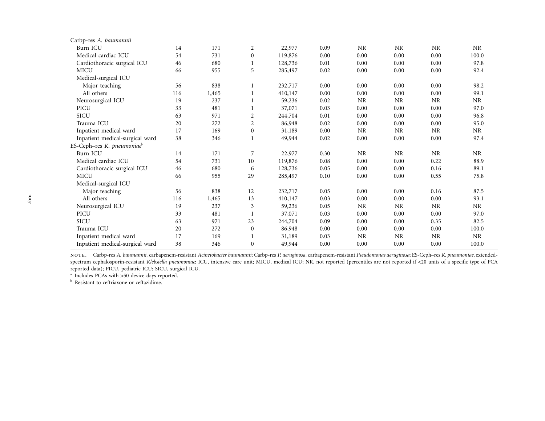| Carbp-res A. baumannii                 |     |       |                  |         |      |           |           |           |           |
|----------------------------------------|-----|-------|------------------|---------|------|-----------|-----------|-----------|-----------|
| Burn ICU                               | 14  | 171   | $\overline{c}$   | 22,977  | 0.09 | <b>NR</b> | <b>NR</b> | <b>NR</b> | <b>NR</b> |
| Medical cardiac ICU                    | 54  | 731   | $\boldsymbol{0}$ | 119,876 | 0.00 | 0.00      | 0.00      | 0.00      | 100.0     |
| Cardiothoracic surgical ICU            | 46  | 680   | $\mathbf{1}$     | 128,736 | 0.01 | 0.00      | 0.00      | 0.00      | 97.8      |
| <b>MICU</b>                            | 66  | 955   | 5                | 285,497 | 0.02 | 0.00      | 0.00      | 0.00      | 92.4      |
| Medical-surgical ICU                   |     |       |                  |         |      |           |           |           |           |
| Major teaching                         | 56  | 838   | $\mathbf{1}$     | 232,717 | 0.00 | 0.00      | 0.00      | 0.00      | 98.2      |
| All others                             | 116 | 1,465 | 1                | 410,147 | 0.00 | 0.00      | 0.00      | 0.00      | 99.1      |
| Neurosurgical ICU                      | 19  | 237   | 1                | 59,236  | 0.02 | <b>NR</b> | <b>NR</b> | <b>NR</b> | <b>NR</b> |
| PICU                                   | 33  | 481   | 1                | 37,071  | 0.03 | $0.00\,$  | 0.00      | 0.00      | 97.0      |
| <b>SICU</b>                            | 63  | 971   | $\overline{c}$   | 244,704 | 0.01 | 0.00      | 0.00      | 0.00      | 96.8      |
| Trauma ICU                             | 20  | 272   | $\boldsymbol{2}$ | 86,948  | 0.02 | 0.00      | 0.00      | 0.00      | 95.0      |
| Inpatient medical ward                 | 17  | 169   | $\boldsymbol{0}$ | 31,189  | 0.00 | <b>NR</b> | <b>NR</b> | <b>NR</b> | <b>NR</b> |
| Inpatient medical-surgical ward        | 38  | 346   | 1                | 49,944  | 0.02 | 0.00      | 0.00      | 0.00      | 97.4      |
| ES-Ceph-res K. pneumoniae <sup>b</sup> |     |       |                  |         |      |           |           |           |           |
| Burn ICU                               | 14  | 171   | $\overline{7}$   | 22,977  | 0.30 | NR        | <b>NR</b> | NR        | NR.       |
| Medical cardiac ICU                    | 54  | 731   | 10               | 119,876 | 0.08 | 0.00      | 0.00      | 0.22      | 88.9      |
| Cardiothoracic surgical ICU            | 46  | 680   | 6                | 128,736 | 0.05 | 0.00      | 0.00      | 0.16      | 89.1      |
| <b>MICU</b>                            | 66  | 955   | 29               | 285,497 | 0.10 | 0.00      | 0.00      | 0.55      | 75.8      |
| Medical-surgical ICU                   |     |       |                  |         |      |           |           |           |           |
| Major teaching                         | 56  | 838   | 12               | 232,717 | 0.05 | 0.00      | 0.00      | 0.16      | 87.5      |
| All others                             | 116 | 1,465 | 13               | 410,147 | 0.03 | 0.00      | 0.00      | 0.00      | 93.1      |
| Neurosurgical ICU                      | 19  | 237   | 3                | 59,236  | 0.05 | <b>NR</b> | <b>NR</b> | <b>NR</b> | <b>NR</b> |
| PICU                                   | 33  | 481   | 1                | 37,071  | 0.03 | 0.00      | 0.00      | 0.00      | 97.0      |
| <b>SICU</b>                            | 63  | 971   | 23               | 244,704 | 0.09 | 0.00      | 0.00      | 0.35      | 82.5      |
| Trauma ICU                             | 20  | 272   | $\boldsymbol{0}$ | 86,948  | 0.00 | 0.00      | 0.00      | 0.00      | 100.0     |
| Inpatient medical ward                 | 17  | 169   | 1                | 31,189  | 0.03 | <b>NR</b> | <b>NR</b> | <b>NR</b> | <b>NR</b> |
| Inpatient medical-surgical ward        | 38  | 346   | $\boldsymbol{0}$ | 49,944  | 0.00 | 0.00      | 0.00      | 0.00      | 100.0     |

note. Carbp-res *A. baumannii,* carbapenem-resistant *Acinetobacter baumannii*; Carbp-res *P. aeruginosa,* carbapenem-resistant *Pseudomonas aeruginosa*; ES-Ceph–res *K. pneumoniae,* extended spectrum cephalosporin-resistant *Klebsiella pneumoniae*; ICU, intensive care unit; MICU, medical ICU; NR, not reported (percentiles are not reported if <20 units of a specific type of PCA reported data); PICU, pediatric ICU; SICU, surgical ICU.

<sup>a</sup> Includes PCAs with >50 device-days reported.

**b** Resistant to ceftriaxone or ceftazidime.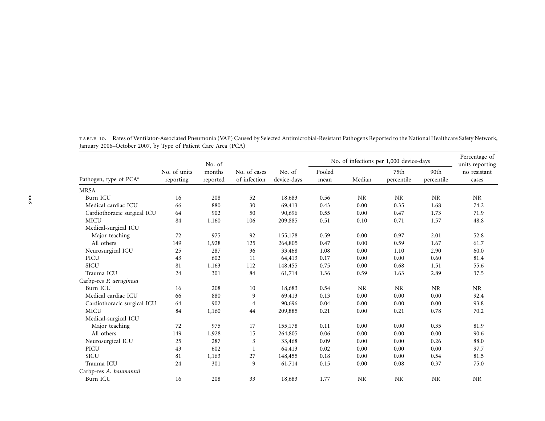table 10. Rates of Ventilator-Associated Pneumonia (VAP) Caused by Selected Antimicrobial-Resistant Pathogens Reported to the National Healthcare Safety Network, January 2006–October 2007, by Type of Patient Care Area (PCA)

|                                    |                           | No. of             |                              |                       | No. of infections per 1,000 device-days |           |                    |                    | Percentage of<br>units reporting |
|------------------------------------|---------------------------|--------------------|------------------------------|-----------------------|-----------------------------------------|-----------|--------------------|--------------------|----------------------------------|
| Pathogen, type of PCA <sup>a</sup> | No. of units<br>reporting | months<br>reported | No. of cases<br>of infection | No. of<br>device-days | Pooled<br>mean                          | Median    | 75th<br>percentile | 90th<br>percentile | no resistant<br>cases            |
| <b>MRSA</b>                        |                           |                    |                              |                       |                                         |           |                    |                    |                                  |
| Burn ICU                           | 16                        | 208                | 52                           | 18,683                | 0.56                                    | <b>NR</b> | <b>NR</b>          | <b>NR</b>          | <b>NR</b>                        |
| Medical cardiac ICU                | 66                        | 880                | 30                           | 69,413                | 0.43                                    | 0.00      | 0.35               | 1.68               | 74.2                             |
| Cardiothoracic surgical ICU        | 64                        | 902                | 50                           | 90,696                | 0.55                                    | 0.00      | 0.47               | 1.73               | 71.9                             |
| <b>MICU</b>                        | 84                        | 1,160              | 106                          | 209,885               | 0.51                                    | 0.10      | 0.71               | 1.57               | 48.8                             |
| Medical-surgical ICU               |                           |                    |                              |                       |                                         |           |                    |                    |                                  |
| Major teaching                     | 72                        | 975                | 92                           | 155,178               | 0.59                                    | 0.00      | 0.97               | 2.01               | 52.8                             |
| All others                         | 149                       | 1,928              | 125                          | 264,805               | 0.47                                    | 0.00      | 0.59               | 1.67               | 61.7                             |
| Neurosurgical ICU                  | 25                        | 287                | 36                           | 33,468                | 1.08                                    | 0.00      | 1.10               | 2.90               | 60.0                             |
| PICU                               | 43                        | 602                | 11                           | 64,413                | 0.17                                    | 0.00      | 0.00               | 0.60               | 81.4                             |
| <b>SICU</b>                        | 81                        | 1,163              | 112                          | 148,455               | 0.75                                    | 0.00      | 0.68               | 1.51               | 55.6                             |
| Trauma ICU                         | 24                        | 301                | 84                           | 61,714                | 1.36                                    | 0.59      | 1.63               | 2.89               | 37.5                             |
| Carbp-res P. aeruginosa            |                           |                    |                              |                       |                                         |           |                    |                    |                                  |
| Burn ICU                           | 16                        | 208                | 10                           | 18,683                | 0.54                                    | <b>NR</b> | <b>NR</b>          | $\rm NR$           | <b>NR</b>                        |
| Medical cardiac ICU                | 66                        | 880                | 9                            | 69,413                | 0.13                                    | 0.00      | 0.00               | 0.00               | 92.4                             |
| Cardiothoracic surgical ICU        | 64                        | 902                | $\overline{4}$               | 90,696                | 0.04                                    | 0.00      | 0.00               | 0.00               | 93.8                             |
| <b>MICU</b>                        | 84                        | 1,160              | 44                           | 209,885               | 0.21                                    | 0.00      | 0.21               | 0.78               | 70.2                             |
| Medical-surgical ICU               |                           |                    |                              |                       |                                         |           |                    |                    |                                  |
| Major teaching                     | 72                        | 975                | 17                           | 155,178               | 0.11                                    | 0.00      | 0.00               | 0.35               | 81.9                             |
| All others                         | 149                       | 1,928              | 15                           | 264,805               | 0.06                                    | 0.00      | 0.00               | 0.00               | 90.6                             |
| Neurosurgical ICU                  | 25                        | 287                | 3                            | 33,468                | 0.09                                    | 0.00      | 0.00               | 0.26               | 88.0                             |
| PICU                               | 43                        | 602                |                              | 64,413                | 0.02                                    | 0.00      | 0.00               | 0.00               | 97.7                             |
| <b>SICU</b>                        | 81                        | 1,163              | 27                           | 148,455               | 0.18                                    | 0.00      | 0.00               | 0.54               | 81.5                             |
| Trauma ICU                         | 24                        | 301                | 9                            | 61,714                | 0.15                                    | 0.00      | 0.08               | 0.37               | 75.0                             |
| Carbp-res A. baumannii             |                           |                    |                              |                       |                                         |           |                    |                    |                                  |
| Burn ICU                           | 16                        | 208                | 33                           | 18,683                | 1.77                                    | <b>NR</b> | <b>NR</b>          | <b>NR</b>          | <b>NR</b>                        |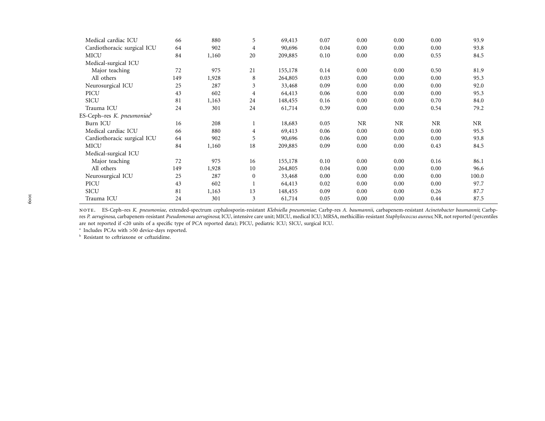| Medical cardiac ICU                    | 66  | 880   | 5            | 69,413  | 0.07 | 0.00 | 0.00      | 0.00      | 93.9      |
|----------------------------------------|-----|-------|--------------|---------|------|------|-----------|-----------|-----------|
| Cardiothoracic surgical ICU            | 64  | 902   | 4            | 90,696  | 0.04 | 0.00 | 0.00      | 0.00      | 93.8      |
| <b>MICU</b>                            | 84  | 1,160 | 20           | 209,885 | 0.10 | 0.00 | 0.00      | 0.55      | 84.5      |
| Medical-surgical ICU                   |     |       |              |         |      |      |           |           |           |
| Major teaching                         | 72  | 975   | 21           | 155,178 | 0.14 | 0.00 | 0.00      | 0.50      | 81.9      |
| All others                             | 149 | 1,928 | 8            | 264,805 | 0.03 | 0.00 | 0.00      | 0.00      | 95.3      |
| Neurosurgical ICU                      | 25  | 287   | 3            | 33,468  | 0.09 | 0.00 | 0.00      | 0.00      | 92.0      |
| PICU                                   | 43  | 602   | 4            | 64,413  | 0.06 | 0.00 | 0.00      | 0.00      | 95.3      |
| <b>SICU</b>                            | 81  | 1,163 | 24           | 148,455 | 0.16 | 0.00 | 0.00      | 0.70      | 84.0      |
| Trauma ICU                             | 24  | 301   | 24           | 61,714  | 0.39 | 0.00 | 0.00      | 0.54      | 79.2      |
| ES-Ceph–res K. pneumoniae <sup>b</sup> |     |       |              |         |      |      |           |           |           |
| Burn ICU                               | 16  | 208   |              | 18,683  | 0.05 | NR   | <b>NR</b> | <b>NR</b> | <b>NR</b> |
| Medical cardiac ICU                    | 66  | 880   | 4            | 69,413  | 0.06 | 0.00 | 0.00      | 0.00      | 95.5      |
| Cardiothoracic surgical ICU            | 64  | 902   | 5            | 90,696  | 0.06 | 0.00 | 0.00      | 0.00      | 93.8      |
| <b>MICU</b>                            | 84  | 1,160 | 18           | 209,885 | 0.09 | 0.00 | 0.00      | 0.43      | 84.5      |
| Medical-surgical ICU                   |     |       |              |         |      |      |           |           |           |
| Major teaching                         | 72  | 975   | 16           | 155,178 | 0.10 | 0.00 | 0.00      | 0.16      | 86.1      |
| All others                             | 149 | 1,928 | 10           | 264,805 | 0.04 | 0.00 | 0.00      | 0.00      | 96.6      |
| Neurosurgical ICU                      | 25  | 287   | $\mathbf{0}$ | 33,468  | 0.00 | 0.00 | 0.00      | 0.00      | 100.0     |
| PICU                                   | 43  | 602   |              | 64,413  | 0.02 | 0.00 | 0.00      | 0.00      | 97.7      |
| <b>SICU</b>                            | 81  | 1,163 | 13           | 148,455 | 0.09 | 0.00 | 0.00      | 0.26      | 87.7      |
| Trauma ICU                             | 24  | 301   | 3            | 61,714  | 0.05 | 0.00 | 0.00      | 0.44      | 87.5      |

note. ES-Ceph–res *K. pneumoniae,* extended-spectrum cephalosporin-resistant *Klebsiella pneumoniae*; Carbp-res *A. baumannii,* carbapenem-resistant *Acinetobacter baumannii*; Carbpres *P. aeruginosa,* carbapenem-resistant *Pseudomonas aeruginosa*; ICU, intensive care unit; MICU, medical ICU; MRSA, methicillin-resistant *Staphylococcus aureus*; NR, not reported (percentiles are not reported if <20 units of a specific type of PCA reported data); PICU, pediatric ICU; SICU, surgical ICU.

<sup>a</sup> Includes PCAs with >50 device-days reported.

b Resistant to ceftriaxone or ceftazidime.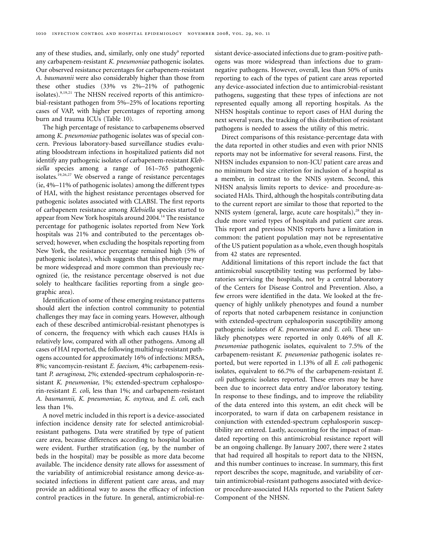any of these studies, and, similarly, only one study<sup>9</sup> reported any carbapenem-resistant *K. pneumoniae* pathogenic isolates. Our observed resistance percentages for carbapenem-resistant *A. baumannii* were also considerably higher than those from these other studies (33% vs 2%–21% of pathogenic isolates).<sup>9,19,21</sup> The NHSN received reports of this antimicrobial-resistant pathogen from 5%–25% of locations reporting cases of VAP, with higher percentages of reporting among burn and trauma ICUs (Table 10).

The high percentage of resistance to carbapenems observed among *K. pneumoniae* pathogenic isolates was of special concern. Previous laboratory-based surveillance studies evaluating bloodstream infections in hospitalized patients did not identify any pathogenic isolates of carbapenem-resistant *Klebsiella* species among a range of 161–765 pathogenic isolates.19,26,27 We observed a range of resistance percentages (ie, 4%–11% of pathogenic isolates) among the different types of HAI, with the highest resistance percentages observed for pathogenic isolates associated with CLABSI. The first reports of carbapenem resistance among *Klebsiella* species started to appear from New York hospitals around 2004.<sup>14</sup> The resistance percentage for pathogenic isolates reported from New York hospitals was 21% and contributed to the percentages observed; however, when excluding the hospitals reporting from New York, the resistance percentage remained high (5% of pathogenic isolates), which suggests that this phenotype may be more widespread and more common than previously recognized (ie, the resistance percentage observed is not due solely to healthcare facilities reporting from a single geographic area).

Identification of some of these emerging resistance patterns should alert the infection control community to potential challenges they may face in coming years. However, although each of these described antimicrobial-resistant phenotypes is of concern, the frequency with which each causes HAIs is relatively low, compared with all other pathogens. Among all cases of HAI reported, the following multidrug-resistant pathogens accounted for approximately 16% of infections: MRSA, 8%; vancomycin-resistant *E. faecium,* 4%; carbapenem-resistant *P. aeruginosa,* 2%; extended-spectrum cephalosporin-resistant *K. pneumoniae,* 1%; extended-spectrum cephalosporin-resistant *E. coli,* less than 1%; and carbapenem-resistant *A. baumannii, K. pneumoniae, K. oxytoca,* and *E. coli,* each less than 1%.

A novel metric included in this report is a device-associated infection incidence density rate for selected antimicrobialresistant pathogens. Data were stratified by type of patient care area, because differences according to hospital location were evident. Further stratification (eg, by the number of beds in the hospital) may be possible as more data become available. The incidence density rate allows for assessment of the variability of antimicrobial resistance among device-associated infections in different patient care areas, and may provide an additional way to assess the efficacy of infection control practices in the future. In general, antimicrobial-resistant device-associated infections due to gram-positive pathogens was more widespread than infections due to gramnegative pathogens. However, overall, less than 50% of units reporting to each of the types of patient care areas reported any device-associated infection due to antimicrobial-resistant pathogens, suggesting that these types of infections are not represented equally among all reporting hospitals. As the NHSN hospitals continue to report cases of HAI during the next several years, the tracking of this distribution of resistant pathogens is needed to assess the utility of this metric.

Direct comparisons of this resistance-percentage data with the data reported in other studies and even with prior NNIS reports may not be informative for several reasons. First, the NHSN includes expansion to non-ICU patient care areas and no minimum bed size criterion for inclusion of a hospital as a member, in contrast to the NNIS system. Second, this NHSN analysis limits reports to device- and procedure-associated HAIs. Third, although the hospitals contributing data to the current report are similar to those that reported to the NNIS system (general, large, acute care hospitals), $28$  they include more varied types of hospitals and patient care areas. This report and previous NNIS reports have a limitation in common: the patient population may not be representative of the US patient population as a whole, even though hospitals from 42 states are represented.

Additional limitations of this report include the fact that antimicrobial susceptibility testing was performed by laboratories servicing the hospitals, not by a central laboratory of the Centers for Disease Control and Prevention. Also, a few errors were identified in the data. We looked at the frequency of highly unlikely phenotypes and found a number of reports that noted carbapenem resistance in conjunction with extended-spectrum cephalosporin susceptibility among pathogenic isolates of *K. pneumoniae* and *E. coli.* These unlikely phenotypes were reported in only 0.46% of all *K. pneumoniae* pathogenic isolates, equivalent to 7.5% of the carbapenem-resistant *K. pneumoniae* pathogenic isolates reported, but were reported in 1.13% of all *E. coli* pathogenic isolates, equivalent to 66.7% of the carbapenem-resistant *E. coli* pathogenic isolates reported. These errors may be have been due to incorrect data entry and/or laboratory testing. In response to these findings, and to improve the reliability of the data entered into this system, an edit check will be incorporated, to warn if data on carbapenem resistance in conjunction with extended-spectrum cephalosporin susceptibility are entered. Lastly, accounting for the impact of mandated reporting on this antimicrobial resistance report will be an ongoing challenge. By January 2007, there were 2 states that had required all hospitals to report data to the NHSN, and this number continues to increase. In summary, this first report describes the scope, magnitude, and variability of certain antimicrobial-resistant pathogens associated with deviceor procedure-associated HAIs reported to the Patient Safety Component of the NHSN.